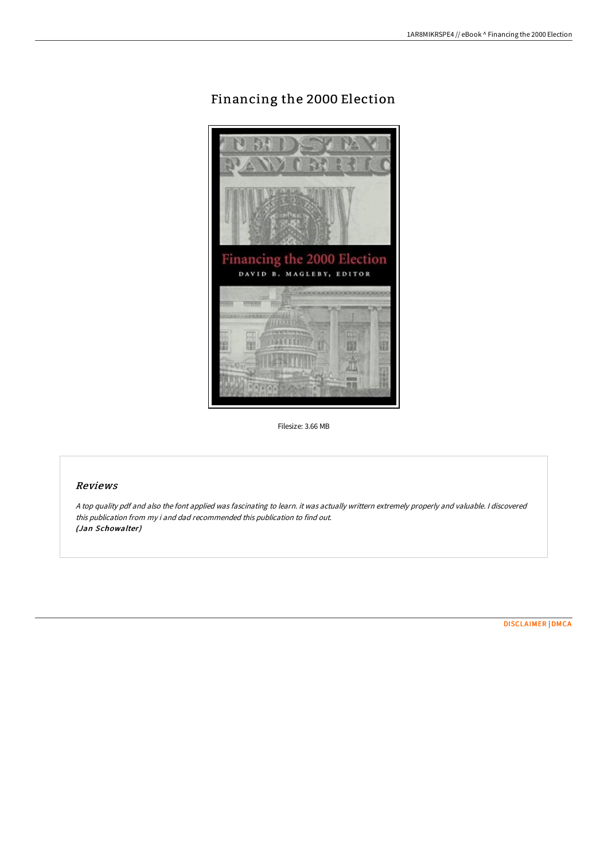# Financing the 2000 Election



Filesize: 3.66 MB

#### Reviews

<sup>A</sup> top quality pdf and also the font applied was fascinating to learn. it was actually writtern extremely properly and valuable. <sup>I</sup> discovered this publication from my i and dad recommended this publication to find out. (Jan Schowalter)

[DISCLAIMER](http://albedo.media/disclaimer.html) | [DMCA](http://albedo.media/dmca.html)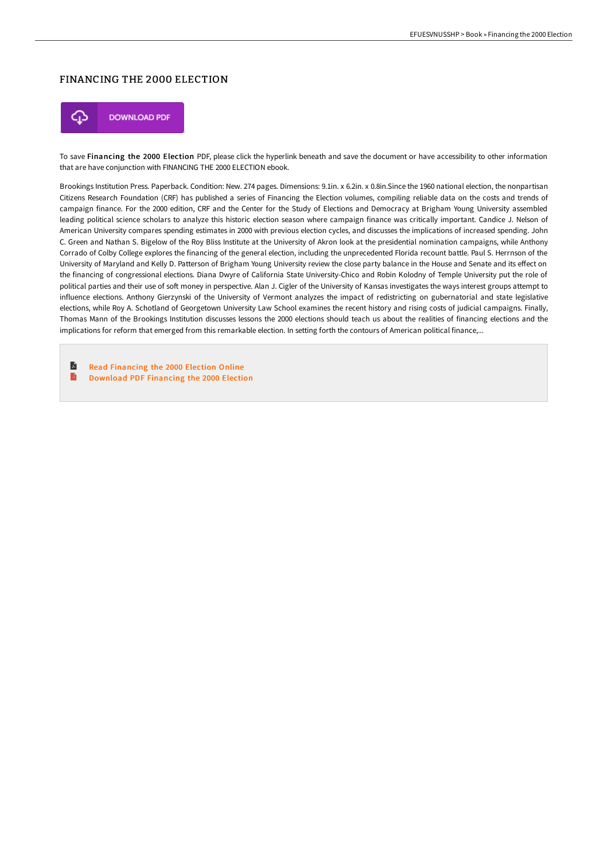## FINANCING THE 2000 ELECTION



To save Financing the 2000 Election PDF, please click the hyperlink beneath and save the document or have accessibility to other information that are have conjunction with FINANCING THE 2000 ELECTION ebook.

Brookings Institution Press. Paperback. Condition: New. 274 pages. Dimensions: 9.1in. x 6.2in. x 0.8in.Since the 1960 national election, the nonpartisan Citizens Research Foundation (CRF) has published a series of Financing the Election volumes, compiling reliable data on the costs and trends of campaign finance. For the 2000 edition, CRF and the Center for the Study of Elections and Democracy at Brigham Young University assembled leading political science scholars to analyze this historic election season where campaign finance was critically important. Candice J. Nelson of American University compares spending estimates in 2000 with previous election cycles, and discusses the implications of increased spending. John C. Green and Nathan S. Bigelow of the Roy Bliss Institute at the University of Akron look at the presidential nomination campaigns, while Anthony Corrado of Colby College explores the financing of the general election, including the unprecedented Florida recount battle. Paul S. Herrnson of the University of Maryland and Kelly D. Patterson of Brigham Young University review the close party balance in the House and Senate and its effect on the financing of congressional elections. Diana Dwyre of California State University-Chico and Robin Kolodny of Temple University put the role of political parties and their use of soft money in perspective. Alan J. Cigler of the University of Kansas investigates the ways interest groups attempt to influence elections. Anthony Gierzynski of the University of Vermont analyzes the impact of redistricting on gubernatorial and state legislative elections, while Roy A. Schotland of Georgetown University Law School examines the recent history and rising costs of judicial campaigns. Finally, Thomas Mann of the Brookings Institution discusses lessons the 2000 elections should teach us about the realities of financing elections and the implications for reform that emerged from this remarkable election. In setting forth the contours of American political finance,...

 $\blacksquare$ Read [Financing](http://albedo.media/financing-the-2000-election.html) the 2000 Election Online B [Download](http://albedo.media/financing-the-2000-election.html) PDF Financing the 2000 Election